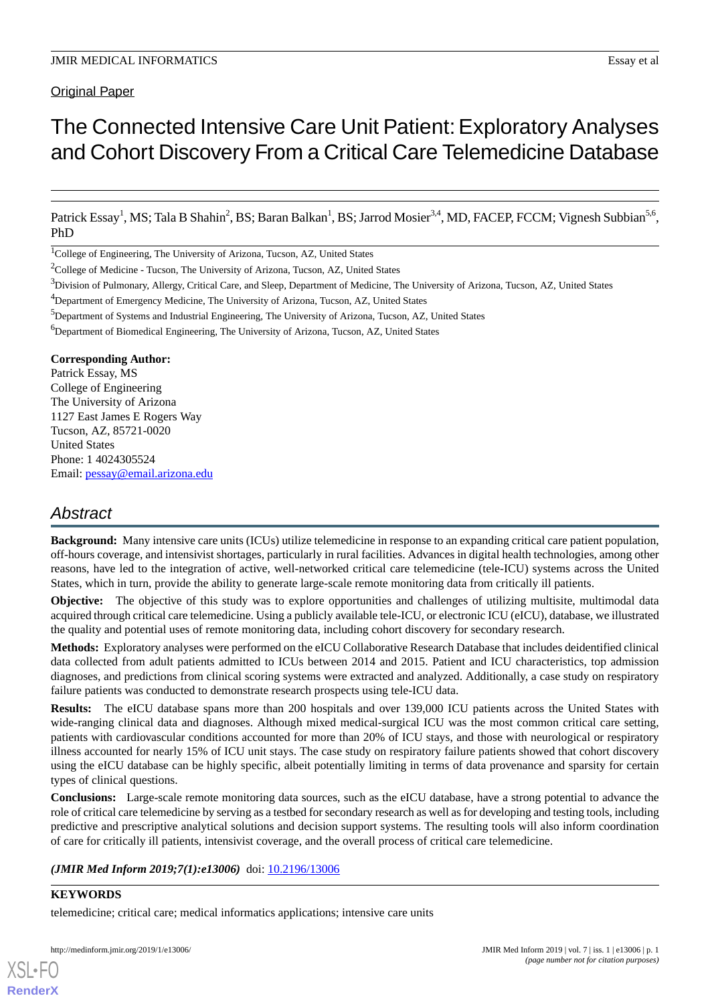### Original Paper

# The Connected Intensive Care Unit Patient:Exploratory Analyses and Cohort Discovery From a Critical Care Telemedicine Database

Patrick Essay<sup>1</sup>, MS; Tala B Shahin<sup>2</sup>, BS; Baran Balkan<sup>1</sup>, BS; Jarrod Mosier<sup>3,4</sup>, MD, FACEP, FCCM; Vignesh Subbian<sup>5,6</sup>, PhD

<sup>1</sup>College of Engineering, The University of Arizona, Tucson, AZ, United States

<sup>2</sup>College of Medicine - Tucson, The University of Arizona, Tucson, AZ, United States

<sup>6</sup>Department of Biomedical Engineering, The University of Arizona, Tucson, AZ, United States

#### **Corresponding Author:**

Patrick Essay, MS College of Engineering The University of Arizona 1127 East James E Rogers Way Tucson, AZ, 85721-0020 United States Phone: 1 4024305524 Email: [pessay@email.arizona.edu](mailto:pessay@email.arizona.edu)

# *Abstract*

**Background:** Many intensive care units (ICUs) utilize telemedicine in response to an expanding critical care patient population, off-hours coverage, and intensivist shortages, particularly in rural facilities. Advances in digital health technologies, among other reasons, have led to the integration of active, well-networked critical care telemedicine (tele-ICU) systems across the United States, which in turn, provide the ability to generate large-scale remote monitoring data from critically ill patients.

**Objective:** The objective of this study was to explore opportunities and challenges of utilizing multisite, multimodal data acquired through critical care telemedicine. Using a publicly available tele-ICU, or electronic ICU (eICU), database, we illustrated the quality and potential uses of remote monitoring data, including cohort discovery for secondary research.

**Methods:** Exploratory analyses were performed on the eICU Collaborative Research Database that includes deidentified clinical data collected from adult patients admitted to ICUs between 2014 and 2015. Patient and ICU characteristics, top admission diagnoses, and predictions from clinical scoring systems were extracted and analyzed. Additionally, a case study on respiratory failure patients was conducted to demonstrate research prospects using tele-ICU data.

**Results:** The eICU database spans more than 200 hospitals and over 139,000 ICU patients across the United States with wide-ranging clinical data and diagnoses. Although mixed medical-surgical ICU was the most common critical care setting, patients with cardiovascular conditions accounted for more than 20% of ICU stays, and those with neurological or respiratory illness accounted for nearly 15% of ICU unit stays. The case study on respiratory failure patients showed that cohort discovery using the eICU database can be highly specific, albeit potentially limiting in terms of data provenance and sparsity for certain types of clinical questions.

**Conclusions:** Large-scale remote monitoring data sources, such as the eICU database, have a strong potential to advance the role of critical care telemedicine by serving as a testbed for secondary research as well as for developing and testing tools, including predictive and prescriptive analytical solutions and decision support systems. The resulting tools will also inform coordination of care for critically ill patients, intensivist coverage, and the overall process of critical care telemedicine.

#### (JMIR Med Inform 2019;7(1):e13006) doi: [10.2196/13006](http://dx.doi.org/10.2196/13006)

#### **KEYWORDS**

[XSL](http://www.w3.org/Style/XSL)•FO **[RenderX](http://www.renderx.com/)**

telemedicine; critical care; medical informatics applications; intensive care units

<sup>&</sup>lt;sup>3</sup>Division of Pulmonary, Allergy, Critical Care, and Sleep, Department of Medicine, The University of Arizona, Tucson, AZ, United States

<sup>&</sup>lt;sup>4</sup>Department of Emergency Medicine, The University of Arizona, Tucson, AZ, United States

<sup>5</sup>Department of Systems and Industrial Engineering, The University of Arizona, Tucson, AZ, United States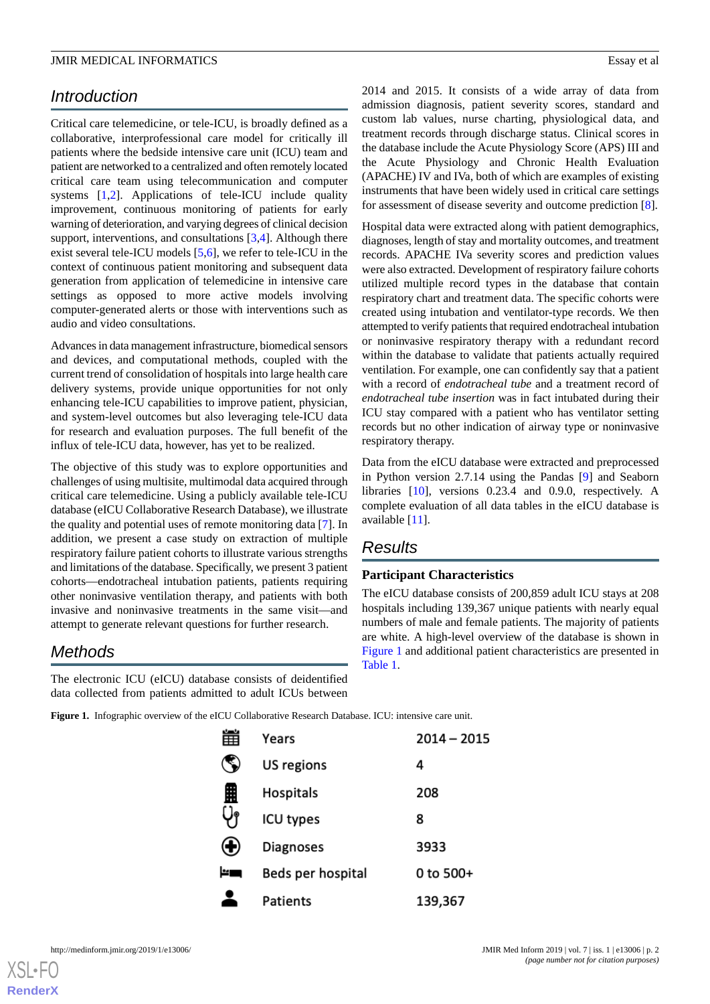# *Introduction*

Critical care telemedicine, or tele-ICU, is broadly defined as a collaborative, interprofessional care model for critically ill patients where the bedside intensive care unit (ICU) team and patient are networked to a centralized and often remotely located critical care team using telecommunication and computer systems [[1](#page-9-0)[,2](#page-9-1)]. Applications of tele-ICU include quality improvement, continuous monitoring of patients for early warning of deterioration, and varying degrees of clinical decision support, interventions, and consultations [\[3](#page-9-2),[4\]](#page-9-3). Although there exist several tele-ICU models [[5](#page-9-4)[,6](#page-9-5)], we refer to tele-ICU in the context of continuous patient monitoring and subsequent data generation from application of telemedicine in intensive care settings as opposed to more active models involving computer-generated alerts or those with interventions such as audio and video consultations.

Advances in data management infrastructure, biomedical sensors and devices, and computational methods, coupled with the current trend of consolidation of hospitals into large health care delivery systems, provide unique opportunities for not only enhancing tele-ICU capabilities to improve patient, physician, and system-level outcomes but also leveraging tele-ICU data for research and evaluation purposes. The full benefit of the influx of tele-ICU data, however, has yet to be realized.

The objective of this study was to explore opportunities and challenges of using multisite, multimodal data acquired through critical care telemedicine. Using a publicly available tele-ICU database (eICU Collaborative Research Database), we illustrate the quality and potential uses of remote monitoring data [\[7](#page-9-6)]. In addition, we present a case study on extraction of multiple respiratory failure patient cohorts to illustrate various strengths and limitations of the database. Specifically, we present 3 patient cohorts—endotracheal intubation patients, patients requiring other noninvasive ventilation therapy, and patients with both invasive and noninvasive treatments in the same visit—and attempt to generate relevant questions for further research.

# <span id="page-1-0"></span>*Methods*

The electronic ICU (eICU) database consists of deidentified data collected from patients admitted to adult ICUs between 2014 and 2015. It consists of a wide array of data from admission diagnosis, patient severity scores, standard and custom lab values, nurse charting, physiological data, and treatment records through discharge status. Clinical scores in the database include the Acute Physiology Score (APS) III and the Acute Physiology and Chronic Health Evaluation (APACHE) IV and IVa, both of which are examples of existing instruments that have been widely used in critical care settings for assessment of disease severity and outcome prediction [[8\]](#page-9-7).

Hospital data were extracted along with patient demographics, diagnoses, length of stay and mortality outcomes, and treatment records. APACHE IVa severity scores and prediction values were also extracted. Development of respiratory failure cohorts utilized multiple record types in the database that contain respiratory chart and treatment data. The specific cohorts were created using intubation and ventilator-type records. We then attempted to verify patients that required endotracheal intubation or noninvasive respiratory therapy with a redundant record within the database to validate that patients actually required ventilation. For example, one can confidently say that a patient with a record of *endotracheal tube* and a treatment record of *endotracheal tube insertion* was in fact intubated during their ICU stay compared with a patient who has ventilator setting records but no other indication of airway type or noninvasive respiratory therapy.

Data from the eICU database were extracted and preprocessed in Python version 2.7.14 using the Pandas [[9\]](#page-9-8) and Seaborn libraries [\[10](#page-10-0)], versions 0.23.4 and 0.9.0, respectively. A complete evaluation of all data tables in the eICU database is available [\[11](#page-10-1)].

## *Results*

#### **Participant Characteristics**

The eICU database consists of 200,859 adult ICU stays at 208 hospitals including 139,367 unique patients with nearly equal numbers of male and female patients. The majority of patients are white. A high-level overview of the database is shown in [Figure 1](#page-1-0) and additional patient characteristics are presented in [Table 1](#page-2-0).

**Figure 1.** Infographic overview of the eICU Collaborative Research Database. ICU: intensive care unit.

| 雦                | Years             | 2014 - 2015 |
|------------------|-------------------|-------------|
| c.               | US regions        | 4           |
| 里                | Hospitals         | 208         |
|                  | ICU types         | 8           |
| $\mathbf \Theta$ | <b>Diagnoses</b>  | 3933        |
| r۳               | Beds per hospital | 0 to 500+   |
|                  | Patients          | 139,367     |

[XSL](http://www.w3.org/Style/XSL)•FO **[RenderX](http://www.renderx.com/)**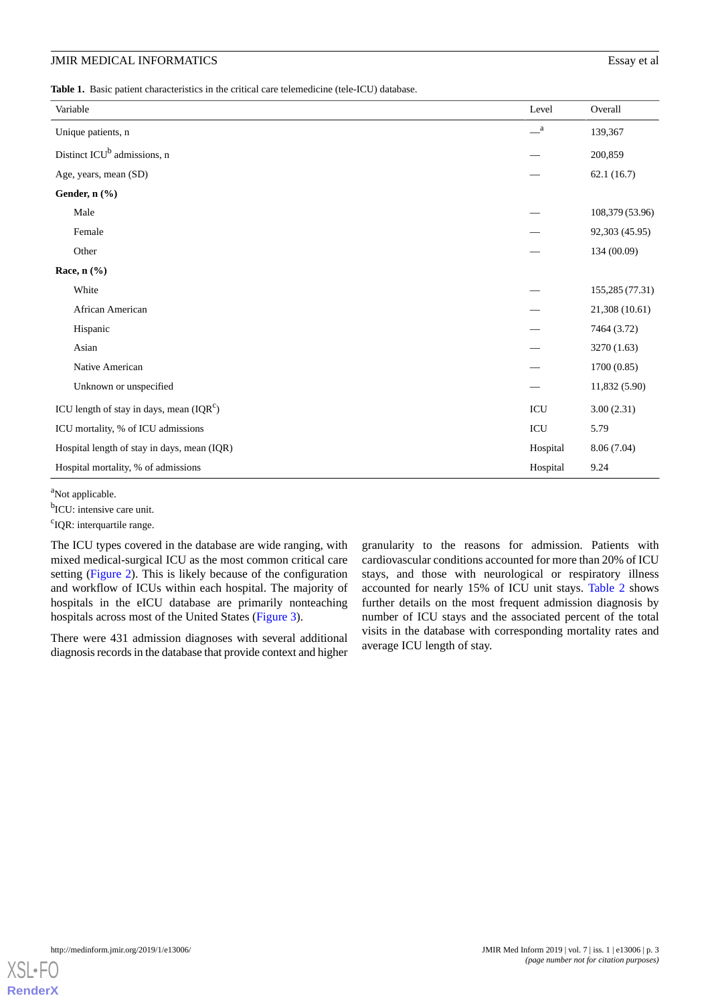<span id="page-2-0"></span>**Table 1.** Basic patient characteristics in the critical care telemedicine (tele-ICU) database.

| Variable                                    | Level | Overall         |
|---------------------------------------------|-------|-----------------|
|                                             |       |                 |
| Unique patients, n                          |       | 139,367         |
| Distinct ICU <sup>b</sup> admissions, n     |       | 200,859         |
| Age, years, mean (SD)                       |       | 62.1(16.7)      |
| Gender, n (%)                               |       |                 |
| Male                                        |       | 108,379 (53.96) |
| Female                                      |       | 92,303 (45.95)  |
| Other                                       |       | 134 (00.09)     |
| Race, n (%)                                 |       |                 |
| White                                       |       | 155,285 (77.31) |
| African American                            |       | 21,308 (10.61)  |
| Hispanic                                    |       | 7464 (3.72)     |
| Asian                                       |       | 3270 (1.63)     |
| Native American                             |       | 1700(0.85)      |
| Unknown or unspecified                      |       | 11,832 (5.90)   |
| ICU length of stay in days, mean $(IQR^c)$  |       | 3.00(2.31)      |
| ICU mortality, % of ICU admissions          |       | 5.79            |
| Hospital length of stay in days, mean (IQR) |       | 8.06 (7.04)     |
| Hospital mortality, % of admissions         |       | 9.24            |

<sup>a</sup>Not applicable.

<sup>b</sup>ICU: intensive care unit.

<sup>c</sup>IQR: interquartile range.

The ICU types covered in the database are wide ranging, with mixed medical-surgical ICU as the most common critical care setting ([Figure 2](#page-3-0)). This is likely because of the configuration and workflow of ICUs within each hospital. The majority of hospitals in the eICU database are primarily nonteaching hospitals across most of the United States [\(Figure 3\)](#page-3-1).

There were 431 admission diagnoses with several additional diagnosis records in the database that provide context and higher granularity to the reasons for admission. Patients with cardiovascular conditions accounted for more than 20% of ICU stays, and those with neurological or respiratory illness accounted for nearly 15% of ICU unit stays. [Table 2](#page-4-0) shows further details on the most frequent admission diagnosis by number of ICU stays and the associated percent of the total visits in the database with corresponding mortality rates and average ICU length of stay.

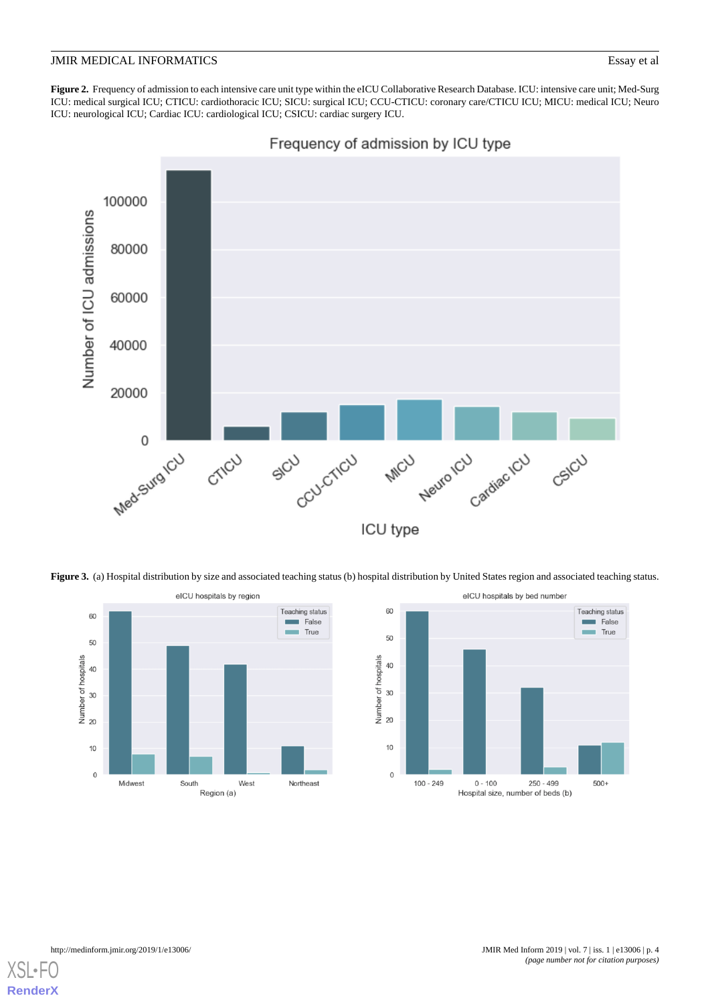<span id="page-3-0"></span>Figure 2. Frequency of admission to each intensive care unit type within the eICU Collaborative Research Database. ICU: intensive care unit; Med-Surg ICU: medical surgical ICU; CTICU: cardiothoracic ICU; SICU: surgical ICU; CCU-CTICU: coronary care/CTICU ICU; MICU: medical ICU; Neuro ICU: neurological ICU; Cardiac ICU: cardiological ICU; CSICU: cardiac surgery ICU.



<span id="page-3-1"></span>Figure 3. (a) Hospital distribution by size and associated teaching status (b) hospital distribution by United States region and associated teaching status.





[XSL](http://www.w3.org/Style/XSL)•FO **[RenderX](http://www.renderx.com/)**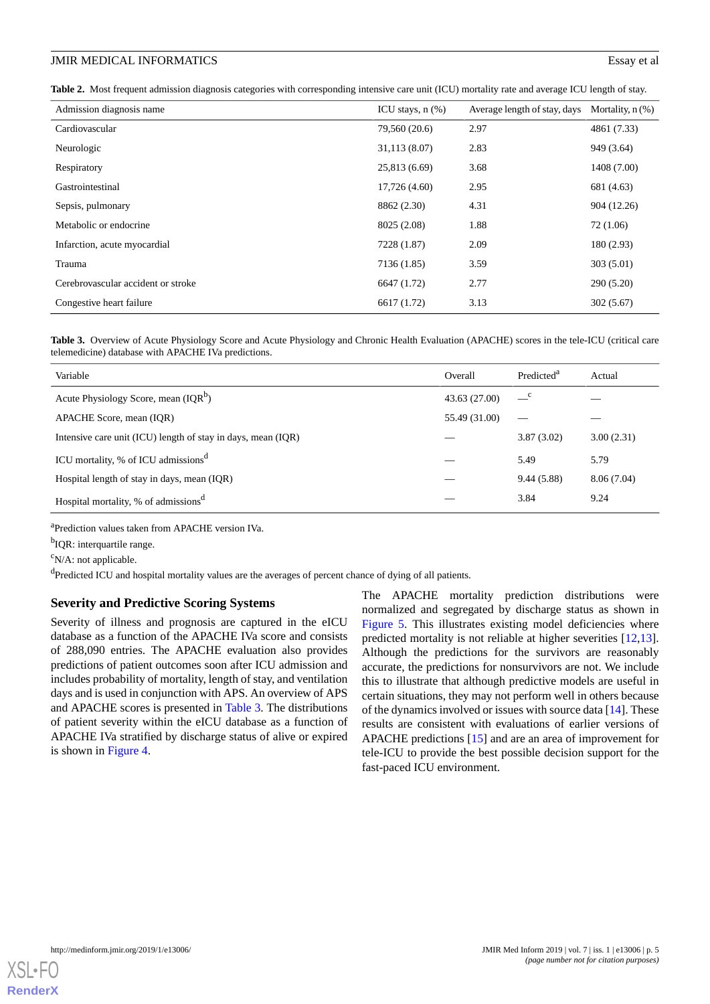<span id="page-4-0"></span>**Table 2.** Most frequent admission diagnosis categories with corresponding intensive care unit (ICU) mortality rate and average ICU length of stay.

| Admission diagnosis name           | ICU stays, $n$ $(\%)$ | Average length of stay, days Mortality, n (%) |             |
|------------------------------------|-----------------------|-----------------------------------------------|-------------|
| Cardiovascular                     | 79,560 (20.6)         | 2.97                                          | 4861 (7.33) |
| Neurologic                         | 31,113 (8.07)         | 2.83                                          | 949 (3.64)  |
| Respiratory                        | 25,813 (6.69)         | 3.68                                          | 1408 (7.00) |
| Gastrointestinal                   | 17,726 (4.60)         | 2.95                                          | 681 (4.63)  |
| Sepsis, pulmonary                  | 8862 (2.30)           | 4.31                                          | 904 (12.26) |
| Metabolic or endocrine.            | 8025 (2.08)           | 1.88                                          | 72 (1.06)   |
| Infarction, acute myocardial       | 7228 (1.87)           | 2.09                                          | 180(2.93)   |
| Trauma                             | 7136 (1.85)           | 3.59                                          | 303(5.01)   |
| Cerebrovascular accident or stroke | 6647 (1.72)           | 2.77                                          | 290(5.20)   |
| Congestive heart failure           | 6617 (1.72)           | 3.13                                          | 302(5.67)   |

<span id="page-4-1"></span>Table 3. Overview of Acute Physiology Score and Acute Physiology and Chronic Health Evaluation (APACHE) scores in the tele-ICU (critical care telemedicine) database with APACHE IVa predictions.

| Variable                                                     | Overall       | Predicted <sup>a</sup> | Actual     |
|--------------------------------------------------------------|---------------|------------------------|------------|
| Acute Physiology Score, mean (IQR <sup>b</sup> )             | 43.63 (27.00) | $\equiv$ <sup>c</sup>  |            |
| APACHE Score, mean (IOR)                                     | 55.49 (31.00) |                        |            |
| Intensive care unit (ICU) length of stay in days, mean (IQR) |               | 3.87(3.02)             | 3.00(2.31) |
| ICU mortality, % of ICU admissions <sup>d</sup>              |               | 5.49                   | 5.79       |
| Hospital length of stay in days, mean (IQR)                  |               | 9.44(5.88)             | 8.06(7.04) |
| Hospital mortality, % of admissions <sup>d</sup>             |               | 3.84                   | 9.24       |

<sup>a</sup>Prediction values taken from APACHE version IVa.

<sup>b</sup>IQR: interquartile range.

 $\rm^c$ N/A: not applicable.

<sup>d</sup>Predicted ICU and hospital mortality values are the averages of percent chance of dying of all patients.

#### **Severity and Predictive Scoring Systems**

Severity of illness and prognosis are captured in the eICU database as a function of the APACHE IVa score and consists of 288,090 entries. The APACHE evaluation also provides predictions of patient outcomes soon after ICU admission and includes probability of mortality, length of stay, and ventilation days and is used in conjunction with APS. An overview of APS and APACHE scores is presented in [Table 3.](#page-4-1) The distributions of patient severity within the eICU database as a function of APACHE IVa stratified by discharge status of alive or expired is shown in [Figure 4.](#page-5-0)

The APACHE mortality prediction distributions were normalized and segregated by discharge status as shown in [Figure 5](#page-6-0). This illustrates existing model deficiencies where predicted mortality is not reliable at higher severities [\[12](#page-10-2),[13\]](#page-10-3). Although the predictions for the survivors are reasonably accurate, the predictions for nonsurvivors are not. We include this to illustrate that although predictive models are useful in certain situations, they may not perform well in others because of the dynamics involved or issues with source data [\[14](#page-10-4)]. These results are consistent with evaluations of earlier versions of APACHE predictions [\[15](#page-10-5)] and are an area of improvement for tele-ICU to provide the best possible decision support for the fast-paced ICU environment.

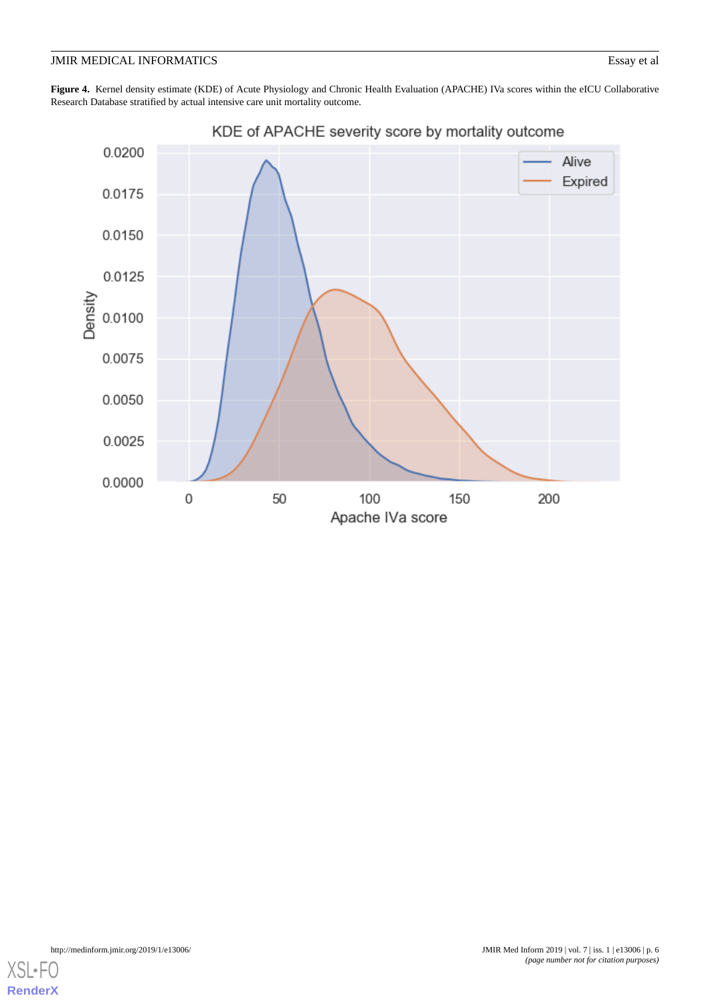<span id="page-5-0"></span>**Figure 4.** Kernel density estimate (KDE) of Acute Physiology and Chronic Health Evaluation (APACHE) IVa scores within the eICU Collaborative Research Database stratified by actual intensive care unit mortality outcome.



KDE of APACHE severity score by mortality outcome

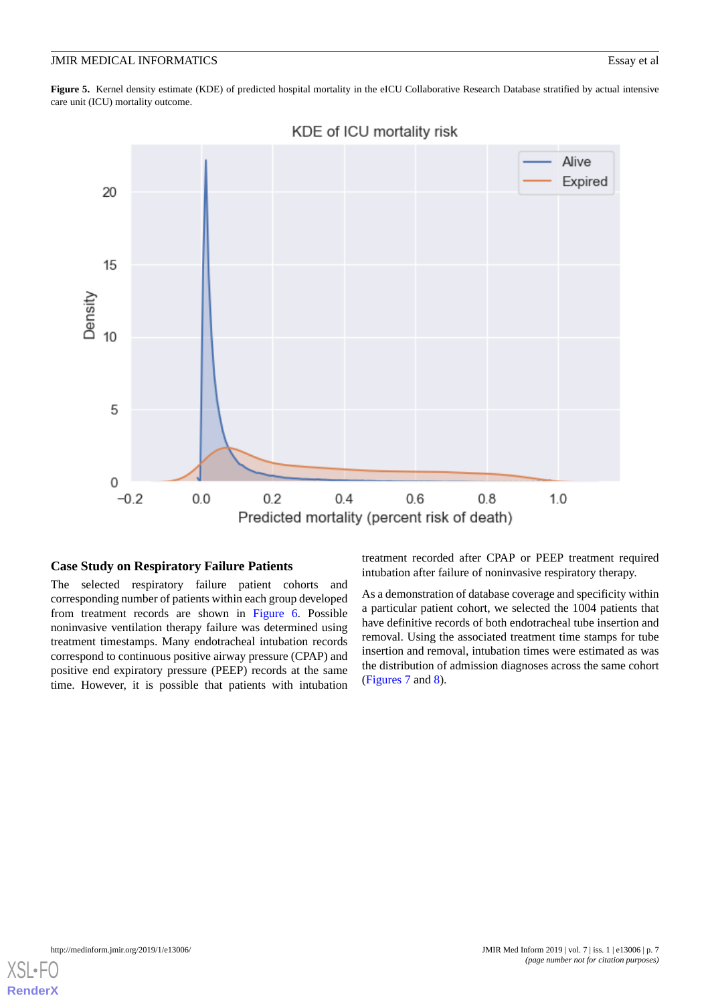<span id="page-6-0"></span>Figure 5. Kernel density estimate (KDE) of predicted hospital mortality in the eICU Collaborative Research Database stratified by actual intensive care unit (ICU) mortality outcome.



KDE of ICU mortality risk

#### **Case Study on Respiratory Failure Patients**

The selected respiratory failure patient cohorts and corresponding number of patients within each group developed from treatment records are shown in [Figure 6.](#page-7-0) Possible noninvasive ventilation therapy failure was determined using treatment timestamps. Many endotracheal intubation records correspond to continuous positive airway pressure (CPAP) and positive end expiratory pressure (PEEP) records at the same time. However, it is possible that patients with intubation

treatment recorded after CPAP or PEEP treatment required intubation after failure of noninvasive respiratory therapy.

As a demonstration of database coverage and specificity within a particular patient cohort, we selected the 1004 patients that have definitive records of both endotracheal tube insertion and removal. Using the associated treatment time stamps for tube insertion and removal, intubation times were estimated as was the distribution of admission diagnoses across the same cohort ([Figures 7](#page-7-1) and [8\)](#page-8-0).

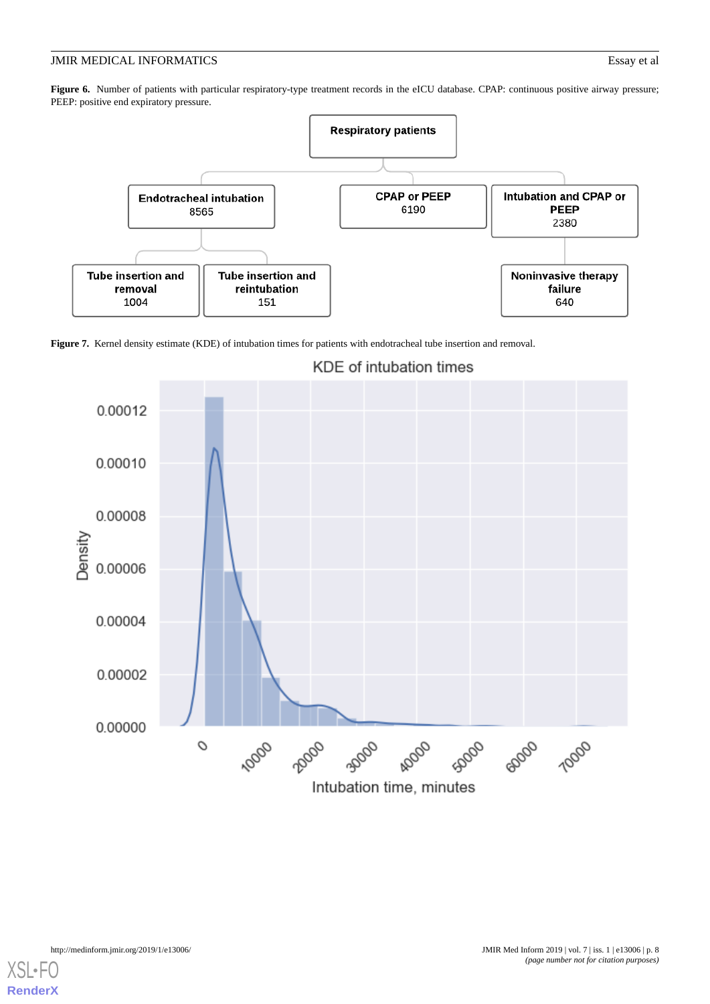<span id="page-7-0"></span>Figure 6. Number of patients with particular respiratory-type treatment records in the eICU database. CPAP: continuous positive airway pressure; PEEP: positive end expiratory pressure.



<span id="page-7-1"></span>



# KDE of intubation times

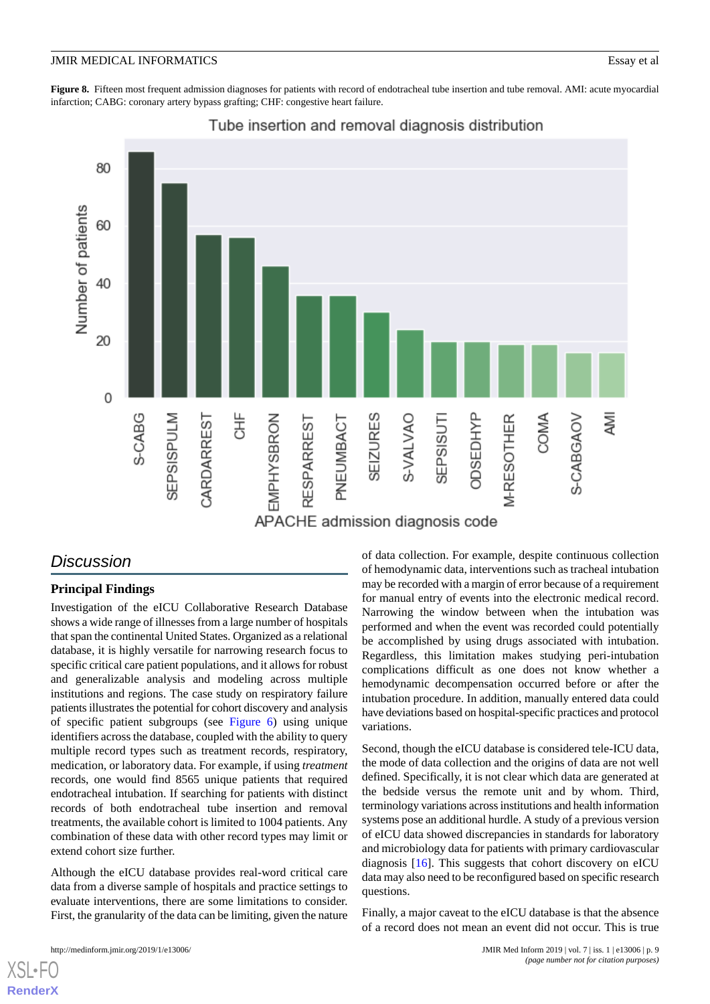<span id="page-8-0"></span>Figure 8. Fifteen most frequent admission diagnoses for patients with record of endotracheal tube insertion and tube removal. AMI: acute myocardial infarction; CABG: coronary artery bypass grafting; CHF: congestive heart failure.



### Tube insertion and removal diagnosis distribution

# *Discussion*

#### **Principal Findings**

Investigation of the eICU Collaborative Research Database shows a wide range of illnesses from a large number of hospitals that span the continental United States. Organized as a relational database, it is highly versatile for narrowing research focus to specific critical care patient populations, and it allows for robust and generalizable analysis and modeling across multiple institutions and regions. The case study on respiratory failure patients illustrates the potential for cohort discovery and analysis of specific patient subgroups (see [Figure 6\)](#page-7-0) using unique identifiers across the database, coupled with the ability to query multiple record types such as treatment records, respiratory, medication, or laboratory data. For example, if using *treatment* records, one would find 8565 unique patients that required endotracheal intubation. If searching for patients with distinct records of both endotracheal tube insertion and removal treatments, the available cohort is limited to 1004 patients. Any combination of these data with other record types may limit or extend cohort size further.

Although the eICU database provides real-word critical care data from a diverse sample of hospitals and practice settings to evaluate interventions, there are some limitations to consider. First, the granularity of the data can be limiting, given the nature

 $XS$  • FC **[RenderX](http://www.renderx.com/)** of data collection. For example, despite continuous collection of hemodynamic data, interventions such as tracheal intubation may be recorded with a margin of error because of a requirement for manual entry of events into the electronic medical record. Narrowing the window between when the intubation was performed and when the event was recorded could potentially be accomplished by using drugs associated with intubation. Regardless, this limitation makes studying peri-intubation complications difficult as one does not know whether a hemodynamic decompensation occurred before or after the intubation procedure. In addition, manually entered data could have deviations based on hospital-specific practices and protocol variations.

Second, though the eICU database is considered tele-ICU data, the mode of data collection and the origins of data are not well defined. Specifically, it is not clear which data are generated at the bedside versus the remote unit and by whom. Third, terminology variations across institutions and health information systems pose an additional hurdle. A study of a previous version of eICU data showed discrepancies in standards for laboratory and microbiology data for patients with primary cardiovascular diagnosis [\[16](#page-10-6)]. This suggests that cohort discovery on eICU data may also need to be reconfigured based on specific research questions.

Finally, a major caveat to the eICU database is that the absence of a record does not mean an event did not occur. This is true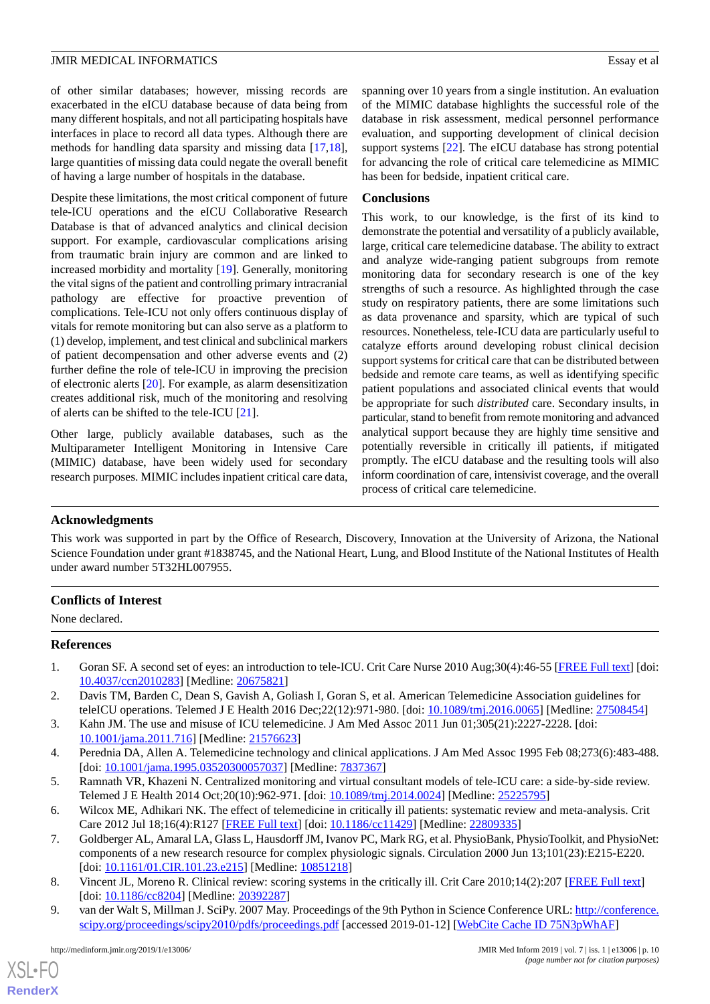of other similar databases; however, missing records are exacerbated in the eICU database because of data being from many different hospitals, and not all participating hospitals have interfaces in place to record all data types. Although there are methods for handling data sparsity and missing data [\[17](#page-10-7),[18\]](#page-10-8), large quantities of missing data could negate the overall benefit of having a large number of hospitals in the database.

Despite these limitations, the most critical component of future tele-ICU operations and the eICU Collaborative Research Database is that of advanced analytics and clinical decision support. For example, cardiovascular complications arising from traumatic brain injury are common and are linked to increased morbidity and mortality [[19\]](#page-10-9). Generally, monitoring the vital signs of the patient and controlling primary intracranial pathology are effective for proactive prevention of complications. Tele-ICU not only offers continuous display of vitals for remote monitoring but can also serve as a platform to (1) develop, implement, and test clinical and subclinical markers of patient decompensation and other adverse events and (2) further define the role of tele-ICU in improving the precision of electronic alerts [[20\]](#page-10-10). For example, as alarm desensitization creates additional risk, much of the monitoring and resolving of alerts can be shifted to the tele-ICU [\[21](#page-10-11)].

Other large, publicly available databases, such as the Multiparameter Intelligent Monitoring in Intensive Care (MIMIC) database, have been widely used for secondary research purposes. MIMIC includes inpatient critical care data, spanning over 10 years from a single institution. An evaluation of the MIMIC database highlights the successful role of the database in risk assessment, medical personnel performance evaluation, and supporting development of clinical decision support systems [\[22](#page-10-12)]. The eICU database has strong potential for advancing the role of critical care telemedicine as MIMIC has been for bedside, inpatient critical care.

#### **Conclusions**

This work, to our knowledge, is the first of its kind to demonstrate the potential and versatility of a publicly available, large, critical care telemedicine database. The ability to extract and analyze wide-ranging patient subgroups from remote monitoring data for secondary research is one of the key strengths of such a resource. As highlighted through the case study on respiratory patients, there are some limitations such as data provenance and sparsity, which are typical of such resources. Nonetheless, tele-ICU data are particularly useful to catalyze efforts around developing robust clinical decision support systems for critical care that can be distributed between bedside and remote care teams, as well as identifying specific patient populations and associated clinical events that would be appropriate for such *distributed* care. Secondary insults, in particular, stand to benefit from remote monitoring and advanced analytical support because they are highly time sensitive and potentially reversible in critically ill patients, if mitigated promptly. The eICU database and the resulting tools will also inform coordination of care, intensivist coverage, and the overall process of critical care telemedicine.

#### **Acknowledgments**

This work was supported in part by the Office of Research, Discovery, Innovation at the University of Arizona, the National Science Foundation under grant #1838745, and the National Heart, Lung, and Blood Institute of the National Institutes of Health under award number 5T32HL007955.

#### <span id="page-9-0"></span>**Conflicts of Interest**

<span id="page-9-1"></span>None declared.

#### <span id="page-9-2"></span>**References**

- <span id="page-9-3"></span>1. Goran SF. A second set of eyes: an introduction to tele-ICU. Crit Care Nurse 2010 Aug;30(4):46-55 [\[FREE Full text](http://ccn.aacnjournals.org/cgi/pmidlookup?view=long&pmid=20675821)] [doi: [10.4037/ccn2010283\]](http://dx.doi.org/10.4037/ccn2010283) [Medline: [20675821](http://www.ncbi.nlm.nih.gov/entrez/query.fcgi?cmd=Retrieve&db=PubMed&list_uids=20675821&dopt=Abstract)]
- <span id="page-9-4"></span>2. Davis TM, Barden C, Dean S, Gavish A, Goliash I, Goran S, et al. American Telemedicine Association guidelines for teleICU operations. Telemed J E Health 2016 Dec;22(12):971-980. [doi: [10.1089/tmj.2016.0065](http://dx.doi.org/10.1089/tmj.2016.0065)] [Medline: [27508454](http://www.ncbi.nlm.nih.gov/entrez/query.fcgi?cmd=Retrieve&db=PubMed&list_uids=27508454&dopt=Abstract)]
- <span id="page-9-5"></span>3. Kahn JM. The use and misuse of ICU telemedicine. J Am Med Assoc 2011 Jun 01;305(21):2227-2228. [doi: [10.1001/jama.2011.716](http://dx.doi.org/10.1001/jama.2011.716)] [Medline: [21576623](http://www.ncbi.nlm.nih.gov/entrez/query.fcgi?cmd=Retrieve&db=PubMed&list_uids=21576623&dopt=Abstract)]
- <span id="page-9-6"></span>4. Perednia DA, Allen A. Telemedicine technology and clinical applications. J Am Med Assoc 1995 Feb 08;273(6):483-488. [doi: [10.1001/jama.1995.03520300057037\]](http://dx.doi.org/10.1001/jama.1995.03520300057037) [Medline: [7837367](http://www.ncbi.nlm.nih.gov/entrez/query.fcgi?cmd=Retrieve&db=PubMed&list_uids=7837367&dopt=Abstract)]
- <span id="page-9-7"></span>5. Ramnath VR, Khazeni N. Centralized monitoring and virtual consultant models of tele-ICU care: a side-by-side review. Telemed J E Health 2014 Oct;20(10):962-971. [doi: [10.1089/tmj.2014.0024\]](http://dx.doi.org/10.1089/tmj.2014.0024) [Medline: [25225795\]](http://www.ncbi.nlm.nih.gov/entrez/query.fcgi?cmd=Retrieve&db=PubMed&list_uids=25225795&dopt=Abstract)
- <span id="page-9-8"></span>6. Wilcox ME, Adhikari NK. The effect of telemedicine in critically ill patients: systematic review and meta-analysis. Crit Care 2012 Jul 18;16(4):R127 [\[FREE Full text\]](https://ccforum.biomedcentral.com/articles/10.1186/cc11429) [doi: [10.1186/cc11429](http://dx.doi.org/10.1186/cc11429)] [Medline: [22809335\]](http://www.ncbi.nlm.nih.gov/entrez/query.fcgi?cmd=Retrieve&db=PubMed&list_uids=22809335&dopt=Abstract)
- 7. Goldberger AL, Amaral LA, Glass L, Hausdorff JM, Ivanov PC, Mark RG, et al. PhysioBank, PhysioToolkit, and PhysioNet: components of a new research resource for complex physiologic signals. Circulation 2000 Jun 13;101(23):E215-E220. [doi: [10.1161/01.CIR.101.23.e215](http://dx.doi.org/10.1161/01.CIR.101.23.e215)] [Medline: [10851218](http://www.ncbi.nlm.nih.gov/entrez/query.fcgi?cmd=Retrieve&db=PubMed&list_uids=10851218&dopt=Abstract)]
- 8. Vincent JL, Moreno R. Clinical review: scoring systems in the critically ill. Crit Care 2010;14(2):207 [\[FREE Full text\]](https://ccforum.biomedcentral.com/articles/10.1186/cc8204) [doi: [10.1186/cc8204](http://dx.doi.org/10.1186/cc8204)] [Medline: [20392287\]](http://www.ncbi.nlm.nih.gov/entrez/query.fcgi?cmd=Retrieve&db=PubMed&list_uids=20392287&dopt=Abstract)
- 9. van der Walt S, Millman J. SciPy. 2007 May. Proceedings of the 9th Python in Science Conference URL: [http://conference.](http://conference.scipy.org/proceedings/scipy2010/pdfs/proceedings.pdf) [scipy.org/proceedings/scipy2010/pdfs/proceedings.pdf](http://conference.scipy.org/proceedings/scipy2010/pdfs/proceedings.pdf) [accessed 2019-01-12] [[WebCite Cache ID 75N3pWhAF\]](http://www.webcitation.org/

                                75N3pWhAF)

 $XS$  $\cdot$ FC **[RenderX](http://www.renderx.com/)**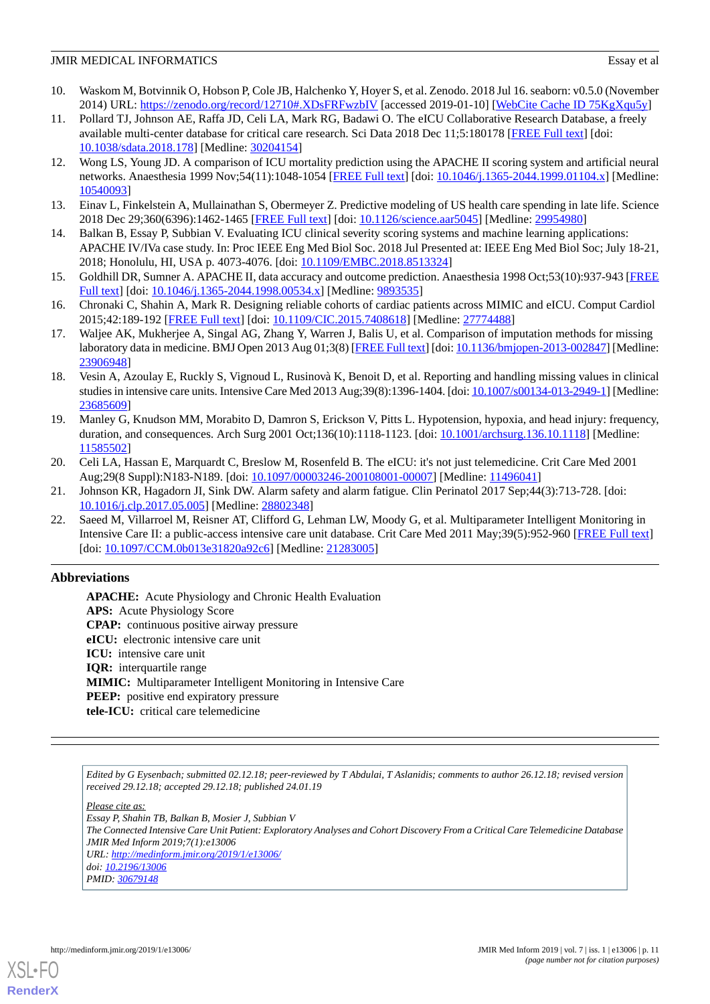- <span id="page-10-0"></span>10. Waskom M, Botvinnik O, Hobson P, Cole JB, Halchenko Y, Hoyer S, et al. Zenodo. 2018 Jul 16. seaborn: v0.5.0 (November 2014) URL: <https://zenodo.org/record/12710#.XDsFRFwzbIV> [accessed 2019-01-10] [\[WebCite Cache ID 75KgXqu5y](http://www.webcitation.org/

                                75KgXqu5y)]
- <span id="page-10-1"></span>11. Pollard TJ, Johnson AE, Raffa JD, Celi LA, Mark RG, Badawi O. The eICU Collaborative Research Database, a freely available multi-center database for critical care research. Sci Data 2018 Dec 11;5:180178 [\[FREE Full text](http://europepmc.org/abstract/MED/30204154)] [doi: [10.1038/sdata.2018.178](http://dx.doi.org/10.1038/sdata.2018.178)] [Medline: [30204154](http://www.ncbi.nlm.nih.gov/entrez/query.fcgi?cmd=Retrieve&db=PubMed&list_uids=30204154&dopt=Abstract)]
- <span id="page-10-2"></span>12. Wong LS, Young JD. A comparison of ICU mortality prediction using the APACHE II scoring system and artificial neural networks. Anaesthesia 1999 Nov;54(11):1048-1054 [\[FREE Full text](https://onlinelibrary.wiley.com/resolve/openurl?genre=article&sid=nlm:pubmed&issn=0003-2409&date=1999&volume=54&issue=11&spage=1048)] [doi: [10.1046/j.1365-2044.1999.01104.x\]](http://dx.doi.org/10.1046/j.1365-2044.1999.01104.x) [Medline: [10540093](http://www.ncbi.nlm.nih.gov/entrez/query.fcgi?cmd=Retrieve&db=PubMed&list_uids=10540093&dopt=Abstract)]
- <span id="page-10-4"></span><span id="page-10-3"></span>13. Einav L, Finkelstein A, Mullainathan S, Obermeyer Z. Predictive modeling of US health care spending in late life. Science 2018 Dec 29;360(6396):1462-1465 [\[FREE Full text](http://europepmc.org/abstract/MED/29954980)] [doi: [10.1126/science.aar5045](http://dx.doi.org/10.1126/science.aar5045)] [Medline: [29954980\]](http://www.ncbi.nlm.nih.gov/entrez/query.fcgi?cmd=Retrieve&db=PubMed&list_uids=29954980&dopt=Abstract)
- <span id="page-10-5"></span>14. Balkan B, Essay P, Subbian V. Evaluating ICU clinical severity scoring systems and machine learning applications: APACHE IV/IVa case study. In: Proc IEEE Eng Med Biol Soc. 2018 Jul Presented at: IEEE Eng Med Biol Soc; July 18-21, 2018; Honolulu, HI, USA p. 4073-4076. [doi: [10.1109/EMBC.2018.8513324\]](http://dx.doi.org/10.1109/EMBC.2018.8513324)
- <span id="page-10-6"></span>15. Goldhill DR, Sumner A. APACHE II, data accuracy and outcome prediction. Anaesthesia 1998 Oct;53(10):937-943 [\[FREE](https://onlinelibrary.wiley.com/resolve/openurl?genre=article&sid=nlm:pubmed&issn=0003-2409&date=1998&volume=53&issue=10&spage=937) [Full text\]](https://onlinelibrary.wiley.com/resolve/openurl?genre=article&sid=nlm:pubmed&issn=0003-2409&date=1998&volume=53&issue=10&spage=937) [doi: [10.1046/j.1365-2044.1998.00534.x\]](http://dx.doi.org/10.1046/j.1365-2044.1998.00534.x) [Medline: [9893535](http://www.ncbi.nlm.nih.gov/entrez/query.fcgi?cmd=Retrieve&db=PubMed&list_uids=9893535&dopt=Abstract)]
- <span id="page-10-7"></span>16. Chronaki C, Shahin A, Mark R. Designing reliable cohorts of cardiac patients across MIMIC and eICU. Comput Cardiol 2015;42:189-192 [\[FREE Full text\]](http://europepmc.org/abstract/MED/27774488) [doi: [10.1109/CIC.2015.7408618\]](http://dx.doi.org/10.1109/CIC.2015.7408618) [Medline: [27774488\]](http://www.ncbi.nlm.nih.gov/entrez/query.fcgi?cmd=Retrieve&db=PubMed&list_uids=27774488&dopt=Abstract)
- <span id="page-10-8"></span>17. Waljee AK, Mukherjee A, Singal AG, Zhang Y, Warren J, Balis U, et al. Comparison of imputation methods for missing laboratory data in medicine. BMJ Open 2013 Aug 01;3(8) [[FREE Full text\]](http://bmjopen.bmj.com/cgi/pmidlookup?view=long&pmid=23906948) [doi: [10.1136/bmjopen-2013-002847](http://dx.doi.org/10.1136/bmjopen-2013-002847)] [Medline: [23906948](http://www.ncbi.nlm.nih.gov/entrez/query.fcgi?cmd=Retrieve&db=PubMed&list_uids=23906948&dopt=Abstract)]
- <span id="page-10-9"></span>18. Vesin A, Azoulay E, Ruckly S, Vignoud L, Rusinovà K, Benoit D, et al. Reporting and handling missing values in clinical studies in intensive care units. Intensive Care Med 2013 Aug;39(8):1396-1404. [doi: [10.1007/s00134-013-2949-1\]](http://dx.doi.org/10.1007/s00134-013-2949-1) [Medline: [23685609](http://www.ncbi.nlm.nih.gov/entrez/query.fcgi?cmd=Retrieve&db=PubMed&list_uids=23685609&dopt=Abstract)]
- <span id="page-10-10"></span>19. Manley G, Knudson MM, Morabito D, Damron S, Erickson V, Pitts L. Hypotension, hypoxia, and head injury: frequency, duration, and consequences. Arch Surg 2001 Oct;136(10):1118-1123. [doi: [10.1001/archsurg.136.10.1118](http://dx.doi.org/10.1001/archsurg.136.10.1118)] [Medline: [11585502](http://www.ncbi.nlm.nih.gov/entrez/query.fcgi?cmd=Retrieve&db=PubMed&list_uids=11585502&dopt=Abstract)]
- <span id="page-10-12"></span><span id="page-10-11"></span>20. Celi LA, Hassan E, Marquardt C, Breslow M, Rosenfeld B. The eICU: it's not just telemedicine. Crit Care Med 2001 Aug;29(8 Suppl):N183-N189. [doi: [10.1097/00003246-200108001-00007\]](http://dx.doi.org/10.1097/00003246-200108001-00007) [Medline: [11496041\]](http://www.ncbi.nlm.nih.gov/entrez/query.fcgi?cmd=Retrieve&db=PubMed&list_uids=11496041&dopt=Abstract)
- 21. Johnson KR, Hagadorn JI, Sink DW. Alarm safety and alarm fatigue. Clin Perinatol 2017 Sep;44(3):713-728. [doi: [10.1016/j.clp.2017.05.005\]](http://dx.doi.org/10.1016/j.clp.2017.05.005) [Medline: [28802348\]](http://www.ncbi.nlm.nih.gov/entrez/query.fcgi?cmd=Retrieve&db=PubMed&list_uids=28802348&dopt=Abstract)
- 22. Saeed M, Villarroel M, Reisner AT, Clifford G, Lehman LW, Moody G, et al. Multiparameter Intelligent Monitoring in Intensive Care II: a public-access intensive care unit database. Crit Care Med 2011 May;39(5):952-960 [\[FREE Full text\]](http://europepmc.org/abstract/MED/21283005) [doi: [10.1097/CCM.0b013e31820a92c6](http://dx.doi.org/10.1097/CCM.0b013e31820a92c6)] [Medline: [21283005](http://www.ncbi.nlm.nih.gov/entrez/query.fcgi?cmd=Retrieve&db=PubMed&list_uids=21283005&dopt=Abstract)]

### **Abbreviations**

**APACHE:** Acute Physiology and Chronic Health Evaluation **APS:** Acute Physiology Score **CPAP:** continuous positive airway pressure **eICU:** electronic intensive care unit **ICU:** intensive care unit **IQR:** interquartile range **MIMIC:** Multiparameter Intelligent Monitoring in Intensive Care **PEEP:** positive end expiratory pressure **tele-ICU:** critical care telemedicine

*Edited by G Eysenbach; submitted 02.12.18; peer-reviewed by T Abdulai, T Aslanidis; comments to author 26.12.18; revised version received 29.12.18; accepted 29.12.18; published 24.01.19*

*Please cite as:*

*Essay P, Shahin TB, Balkan B, Mosier J, Subbian V The Connected Intensive Care Unit Patient: Exploratory Analyses and Cohort Discovery From a Critical Care Telemedicine Database JMIR Med Inform 2019;7(1):e13006*

*URL: <http://medinform.jmir.org/2019/1/e13006/> doi: [10.2196/13006](http://dx.doi.org/10.2196/13006) PMID: [30679148](http://www.ncbi.nlm.nih.gov/entrez/query.fcgi?cmd=Retrieve&db=PubMed&list_uids=30679148&dopt=Abstract)*

[XSL](http://www.w3.org/Style/XSL)•FO **[RenderX](http://www.renderx.com/)**